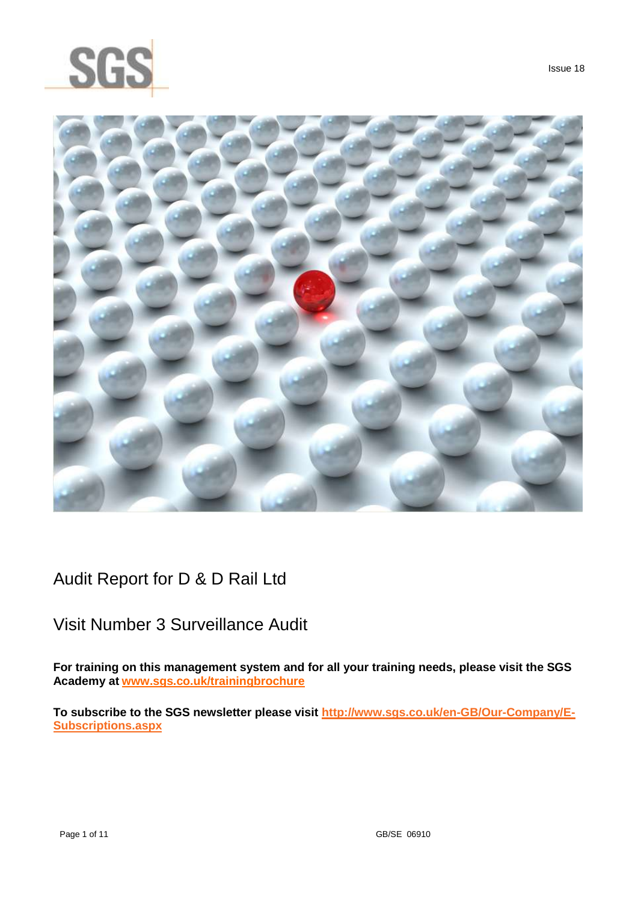



Audit Report for D & D Rail Ltd

## Visit Number 3 Surveillance Audit

**For training on this management system and for all your training needs, please visit the SGS Academy at [www.sgs.co.uk/trainingbrochure](http://www.sgs.co.uk/trainingbrochure)**

**To subscribe to the SGS newsletter please visit [http://www.sgs.co.uk/en-GB/Our-Company/E-](http://www.sgs.co.uk/en-GB/Our-Company/E-Subscriptions.aspx)[Subscriptions.aspx](http://www.sgs.co.uk/en-GB/Our-Company/E-Subscriptions.aspx)**

Issue 18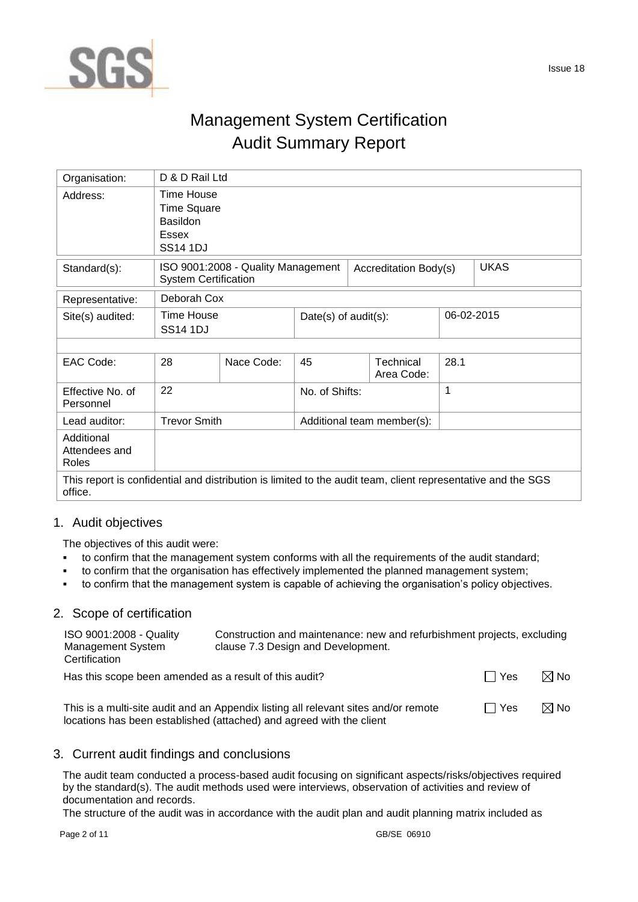

# Management System Certification Audit Summary Report

| Organisation:                                                                                                           | D & D Rail Ltd                                                                  |                                    |                |                                       |                            |      |             |
|-------------------------------------------------------------------------------------------------------------------------|---------------------------------------------------------------------------------|------------------------------------|----------------|---------------------------------------|----------------------------|------|-------------|
| Address:                                                                                                                | Time House<br><b>Time Square</b><br><b>Basildon</b><br>Essex<br><b>SS14 1DJ</b> |                                    |                |                                       |                            |      |             |
| Standard(s):                                                                                                            | <b>System Certification</b>                                                     | ISO 9001:2008 - Quality Management |                |                                       | Accreditation Body(s)      |      | <b>UKAS</b> |
| Representative:                                                                                                         | Deborah Cox                                                                     |                                    |                |                                       |                            |      |             |
| Site(s) audited:                                                                                                        | <b>Time House</b><br><b>SS14 1DJ</b>                                            |                                    |                | 06-02-2015<br>Date(s) of $audit(s)$ : |                            |      |             |
|                                                                                                                         |                                                                                 |                                    |                |                                       |                            |      |             |
| EAC Code:                                                                                                               | 28                                                                              | Nace Code:                         | 45             |                                       | Technical<br>Area Code:    | 28.1 |             |
| Effective No. of<br>Personnel                                                                                           | 22                                                                              |                                    | No. of Shifts: |                                       |                            | 1    |             |
| Lead auditor:                                                                                                           | <b>Trevor Smith</b>                                                             |                                    |                |                                       | Additional team member(s): |      |             |
| Additional<br>Attendees and<br>Roles                                                                                    |                                                                                 |                                    |                |                                       |                            |      |             |
| This report is confidential and distribution is limited to the audit team, client representative and the SGS<br>office. |                                                                                 |                                    |                |                                       |                            |      |             |

## 1. Audit objectives

The objectives of this audit were:

- to confirm that the management system conforms with all the requirements of the audit standard;
- to confirm that the organisation has effectively implemented the planned management system;
- to confirm that the management system is capable of achieving the organisation's policy objectives.

#### 2. Scope of certification

| ISO 9001:2008 - Quality<br>Management System<br>Certification | Construction and maintenance: new and refurbishment projects, excluding<br>clause 7.3 Design and Development. |       |                |
|---------------------------------------------------------------|---------------------------------------------------------------------------------------------------------------|-------|----------------|
| Has this scope been amended as a result of this audit?        |                                                                                                               | Ⅰ Yes | $\boxtimes$ No |
|                                                               |                                                                                                               |       |                |

This is a multi-site audit and an Appendix listing all relevant sites and/or remote locations has been established (attached) and agreed with the client  $\Box$  Yes  $\Box$  No

## 3. Current audit findings and conclusions

The audit team conducted a process-based audit focusing on significant aspects/risks/objectives required by the standard(s). The audit methods used were interviews, observation of activities and review of documentation and records.

The structure of the audit was in accordance with the audit plan and audit planning matrix included as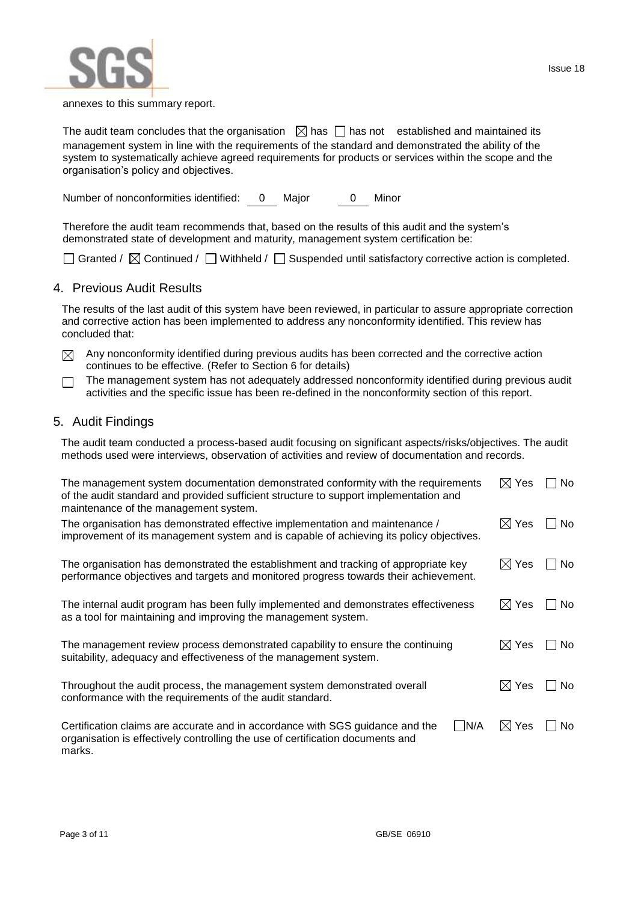

Issue 18

The audit team concludes that the organisation  $\Box$  has  $\Box$  has not established and maintained its management system in line with the requirements of the standard and demonstrated the ability of the system to systematically achieve agreed requirements for products or services within the scope and the organisation's policy and objectives.

Number of nonconformities identified: 0 Major 0 Minor

Therefore the audit team recommends that, based on the results of this audit and the system's demonstrated state of development and maturity, management system certification be:

 $\Box$  Granted /  $\boxtimes$  Continued /  $\Box$  Withheld /  $\Box$  Suspended until satisfactory corrective action is completed.

### 4. Previous Audit Results

The results of the last audit of this system have been reviewed, in particular to assure appropriate correction and corrective action has been implemented to address any nonconformity identified. This review has concluded that:

- $\boxtimes$  Any nonconformity identified during previous audits has been corrected and the corrective action continues to be effective. (Refer to Section 6 for details)
- The management system has not adequately addressed nonconformity identified during previous audit  $\Box$ activities and the specific issue has been re-defined in the nonconformity section of this report.

### 5. Audit Findings

The audit team conducted a process-based audit focusing on significant aspects/risks/objectives. The audit methods used were interviews, observation of activities and review of documentation and records.

| The management system documentation demonstrated conformity with the requirements<br>of the audit standard and provided sufficient structure to support implementation and<br>maintenance of the management system. |                 | No  |
|---------------------------------------------------------------------------------------------------------------------------------------------------------------------------------------------------------------------|-----------------|-----|
| The organisation has demonstrated effective implementation and maintenance /<br>improvement of its management system and is capable of achieving its policy objectives.                                             | $\boxtimes$ Yes | No. |
| The organisation has demonstrated the establishment and tracking of appropriate key<br>performance objectives and targets and monitored progress towards their achievement.                                         | $\boxtimes$ Yes | No. |
| The internal audit program has been fully implemented and demonstrates effectiveness<br>as a tool for maintaining and improving the management system.                                                              | $\boxtimes$ Yes | No. |
| The management review process demonstrated capability to ensure the continuing<br>suitability, adequacy and effectiveness of the management system.                                                                 | $\boxtimes$ Yes | No. |
| Throughout the audit process, the management system demonstrated overall<br>conformance with the requirements of the audit standard.                                                                                | $\boxtimes$ Yes | No. |
| N/A<br>Certification claims are accurate and in accordance with SGS guidance and the<br>organisation is effectively controlling the use of certification documents and<br>marks.                                    | $\boxtimes$ Yes | No. |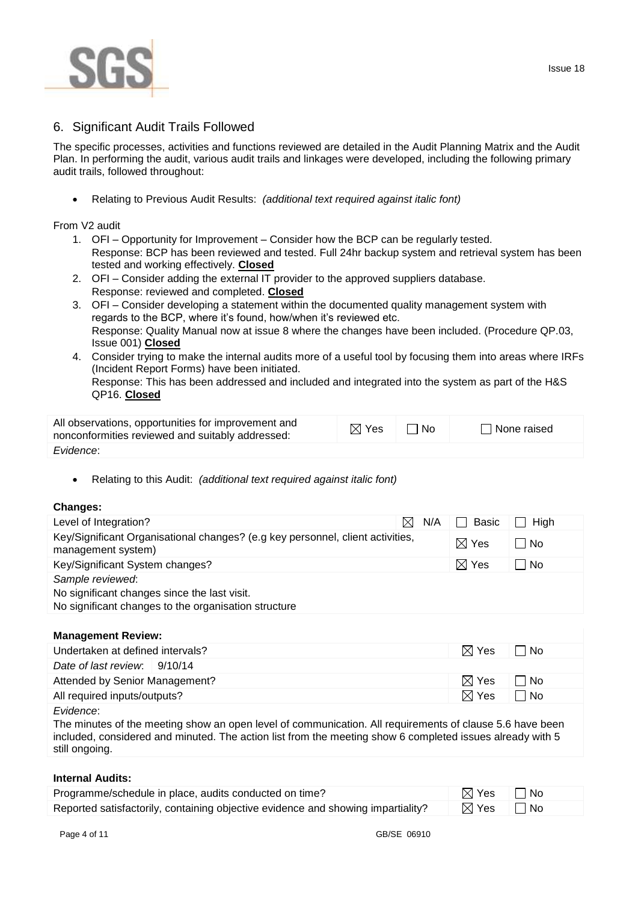

## 6. Significant Audit Trails Followed

The specific processes, activities and functions reviewed are detailed in the Audit Planning Matrix and the Audit Plan. In performing the audit, various audit trails and linkages were developed, including the following primary audit trails, followed throughout:

Relating to Previous Audit Results: *(additional text required against italic font)*

From V2 audit

- 1. OFI Opportunity for Improvement Consider how the BCP can be regularly tested. Response: BCP has been reviewed and tested. Full 24hr backup system and retrieval system has been tested and working effectively. **Closed**
- 2. OFI Consider adding the external IT provider to the approved suppliers database. Response: reviewed and completed. **Closed**
- 3. OFI Consider developing a statement within the documented quality management system with regards to the BCP, where it's found, how/when it's reviewed etc. Response: Quality Manual now at issue 8 where the changes have been included. (Procedure QP.03, Issue 001) **Closed**
- 4. Consider trying to make the internal audits more of a useful tool by focusing them into areas where IRFs (Incident Report Forms) have been initiated.

Response: This has been addressed and included and integrated into the system as part of the H&S QP16. **Closed**

| All observations, opportunities for improvement and<br>nonconformities reviewed and suitably addressed: | $\boxtimes$ Yes | $\Box$ No | $\Box$ None raised |
|---------------------------------------------------------------------------------------------------------|-----------------|-----------|--------------------|
| Evidence:                                                                                               |                 |           |                    |

Relating to this Audit: *(additional text required against italic font)*

#### **Changes:**

| Level of Integration?                                                                                | $\bowtie$<br>N/A | Basic           | High |
|------------------------------------------------------------------------------------------------------|------------------|-----------------|------|
| Key/Significant Organisational changes? (e.g key personnel, client activities,<br>management system) |                  | $\boxtimes$ Yes | l No |
| Key/Significant System changes?                                                                      |                  | $\boxtimes$ Yes | l No |
| Sample reviewed:                                                                                     |                  |                 |      |
| No significant changes since the last visit.                                                         |                  |                 |      |
| No significant changes to the organisation structure                                                 |                  |                 |      |

#### **Management Review:**

| Undertaken at defined intervals?        | $\boxtimes$ Yes | l INo |
|-----------------------------------------|-----------------|-------|
| Date of last review: $\frac{9}{10}$ /14 |                 |       |
| Attended by Senior Management?          | $\boxtimes$ Yes | l INo |
| All required inputs/outputs?            | $\boxtimes$ Yes | l INo |
| Evidence:                               |                 |       |

The minutes of the meeting show an open level of communication. All requirements of clause 5.6 have been included, considered and minuted. The action list from the meeting show 6 completed issues already with 5 still ongoing.

#### **Internal Audits:**

| Programme/schedule in place, audits conducted on time?                           | $\boxtimes$ Yes $\Box$ No       |  |
|----------------------------------------------------------------------------------|---------------------------------|--|
| Reported satisfactorily, containing objective evidence and showing impartiality? | $\boxtimes$ Yes $\quad \Box$ No |  |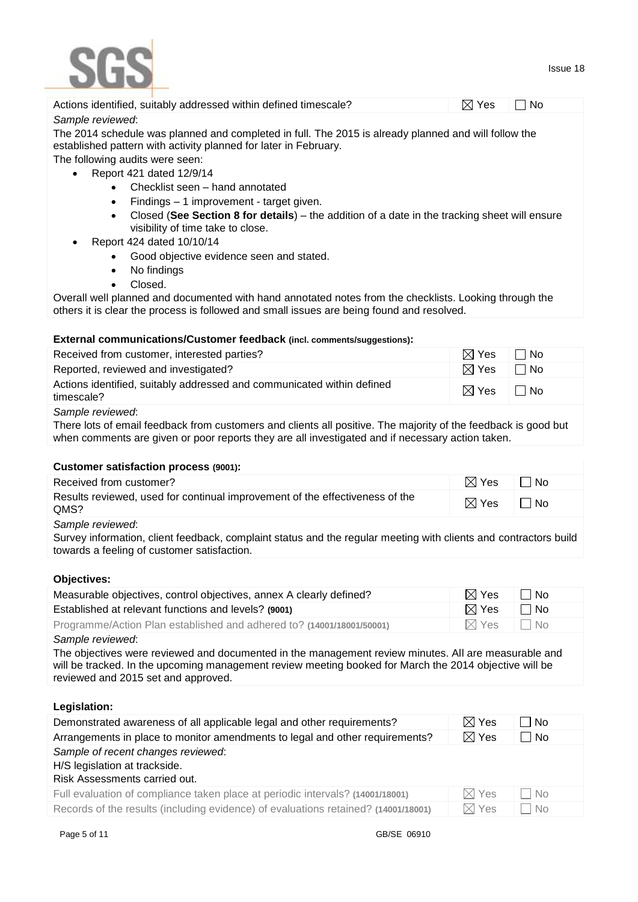

| Actions identified, suitably addressed within defined timescale?                                                                                                                                                                   |             | $\boxtimes$ Yes  | l No      |  |
|------------------------------------------------------------------------------------------------------------------------------------------------------------------------------------------------------------------------------------|-------------|------------------|-----------|--|
| Sample reviewed:                                                                                                                                                                                                                   |             |                  |           |  |
| The 2014 schedule was planned and completed in full. The 2015 is already planned and will follow the<br>established pattern with activity planned for later in February.                                                           |             |                  |           |  |
| The following audits were seen:                                                                                                                                                                                                    |             |                  |           |  |
| Report 421 dated 12/9/14<br>$\bullet$                                                                                                                                                                                              |             |                  |           |  |
| Checklist seen - hand annotated<br>$\bullet$<br>Findings - 1 improvement - target given.<br>$\bullet$                                                                                                                              |             |                  |           |  |
| Closed (See Section 8 for details) - the addition of a date in the tracking sheet will ensure                                                                                                                                      |             |                  |           |  |
| visibility of time take to close.                                                                                                                                                                                                  |             |                  |           |  |
| Report 424 dated 10/10/14                                                                                                                                                                                                          |             |                  |           |  |
| Good objective evidence seen and stated.<br>$\bullet$                                                                                                                                                                              |             |                  |           |  |
| No findings<br>$\bullet$                                                                                                                                                                                                           |             |                  |           |  |
| Closed.<br>$\bullet$                                                                                                                                                                                                               |             |                  |           |  |
| Overall well planned and documented with hand annotated notes from the checklists. Looking through the                                                                                                                             |             |                  |           |  |
| others it is clear the process is followed and small issues are being found and resolved.                                                                                                                                          |             |                  |           |  |
|                                                                                                                                                                                                                                    |             |                  |           |  |
| External communications/Customer feedback (incl. comments/suggestions):                                                                                                                                                            |             |                  |           |  |
| Received from customer, interested parties?                                                                                                                                                                                        |             | $\boxtimes$ Yes  | l No      |  |
| Reported, reviewed and investigated?                                                                                                                                                                                               |             | $\boxtimes$ Yes  | No        |  |
| Actions identified, suitably addressed and communicated within defined<br>timescale?                                                                                                                                               |             | $\boxtimes$ Yes  | $\Box$ No |  |
| Sample reviewed:                                                                                                                                                                                                                   |             |                  |           |  |
| There lots of email feedback from customers and clients all positive. The majority of the feedback is good but                                                                                                                     |             |                  |           |  |
| when comments are given or poor reports they are all investigated and if necessary action taken.                                                                                                                                   |             |                  |           |  |
|                                                                                                                                                                                                                                    |             |                  |           |  |
| <b>Customer satisfaction process (9001):</b>                                                                                                                                                                                       |             |                  |           |  |
| Received from customer?                                                                                                                                                                                                            |             | $\boxtimes$ Yes  | No        |  |
| Results reviewed, used for continual improvement of the effectiveness of the<br>QMS?                                                                                                                                               |             | $\boxtimes$ Yes  | $\Box$ No |  |
| Sample reviewed:                                                                                                                                                                                                                   |             |                  |           |  |
| Survey information, client feedback, complaint status and the regular meeting with clients and contractors build<br>towards a feeling of customer satisfaction.                                                                    |             |                  |           |  |
|                                                                                                                                                                                                                                    |             |                  |           |  |
| Objectives:                                                                                                                                                                                                                        |             |                  |           |  |
| Measurable objectives, control objectives, annex A clearly defined?                                                                                                                                                                |             | $\boxtimes$ Yes  | No        |  |
| Established at relevant functions and levels? (9001)                                                                                                                                                                               |             | $\boxtimes$ Yes  | No        |  |
| Programme/Action Plan established and adhered to? (14001/18001/50001)                                                                                                                                                              |             | $\boxtimes$ Yes  | <b>No</b> |  |
| Sample reviewed:<br>The objectives were reviewed and documented in the management review minutes. All are measurable and<br>will be tracked. In the upcoming management review meeting booked for March the 2014 objective will be |             |                  |           |  |
| reviewed and 2015 set and approved.                                                                                                                                                                                                |             |                  |           |  |
| Legislation:                                                                                                                                                                                                                       |             |                  |           |  |
| Demonstrated awareness of all applicable legal and other requirements?                                                                                                                                                             |             | $\boxtimes$ Yes  | No        |  |
| Arrangements in place to monitor amendments to legal and other requirements?                                                                                                                                                       |             | $\boxtimes$ Yes  | No        |  |
| Sample of recent changes reviewed:                                                                                                                                                                                                 |             |                  |           |  |
| H/S legislation at trackside.                                                                                                                                                                                                      |             |                  |           |  |
| Risk Assessments carried out.                                                                                                                                                                                                      |             |                  |           |  |
| Full evaluation of compliance taken place at periodic intervals? (14001/18001)                                                                                                                                                     |             | $\bowtie$<br>Yes | No        |  |
| Records of the results (including evidence) of evaluations retained? (14001/18001)                                                                                                                                                 |             | $\boxtimes$ Yes  | <b>No</b> |  |
| Page 5 of 11                                                                                                                                                                                                                       | GB/SE 06910 |                  |           |  |
|                                                                                                                                                                                                                                    |             |                  |           |  |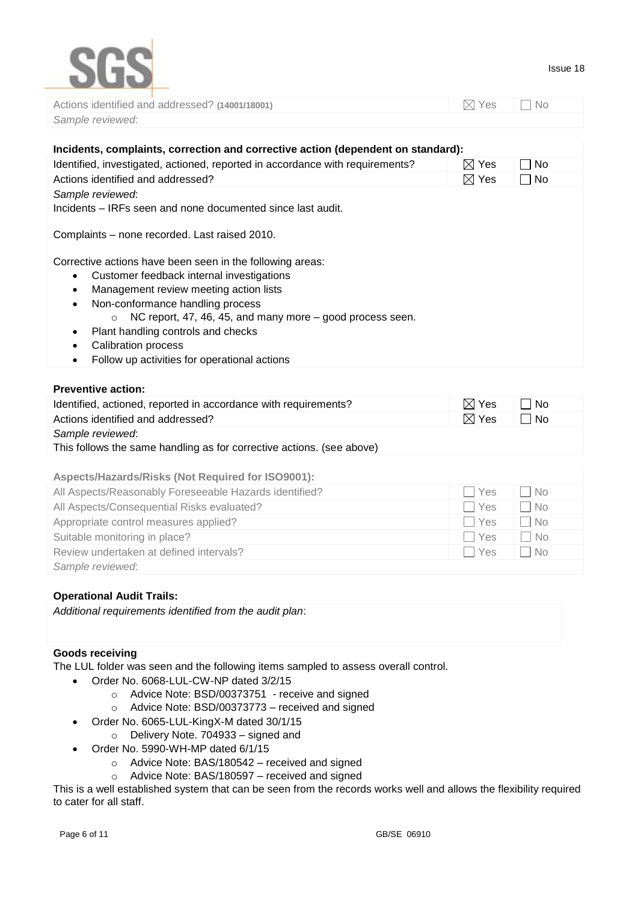

| Actions identified and addressed? (14001/18001) | $\boxtimes$ Yes $\qquad \Box$ No |  |
|-------------------------------------------------|----------------------------------|--|
| Sample reviewed:                                |                                  |  |

| Incidents, complaints, correction and corrective action (dependent on standard):                                                                                                                                                                                                                                                                                                   |                         |
|------------------------------------------------------------------------------------------------------------------------------------------------------------------------------------------------------------------------------------------------------------------------------------------------------------------------------------------------------------------------------------|-------------------------|
| Identified, investigated, actioned, reported in accordance with requirements?                                                                                                                                                                                                                                                                                                      | $\boxtimes$ Yes<br>No.  |
| Actions identified and addressed?                                                                                                                                                                                                                                                                                                                                                  | $\boxtimes$ Yes<br>∣ No |
| Sample reviewed:<br>Incidents – IRFs seen and none documented since last audit.                                                                                                                                                                                                                                                                                                    |                         |
| Complaints – none recorded. Last raised 2010.                                                                                                                                                                                                                                                                                                                                      |                         |
| Corrective actions have been seen in the following areas:<br>Customer feedback internal investigations<br>$\bullet$<br>Management review meeting action lists<br>$\bullet$<br>Non-conformance handling process<br>$\bullet$<br>NC report, 47, 46, 45, and many more – good process seen.<br>$\circ$<br>Plant handling controls and checks<br>٠<br>Calibration process<br>$\bullet$ |                         |
| Follow up activities for operational actions<br>$\bullet$                                                                                                                                                                                                                                                                                                                          |                         |

#### **Preventive action:**

| Identified, actioned, reported in accordance with requirements?       | $\boxtimes$ Yes | $\overline{\phantom{a}}$   No |
|-----------------------------------------------------------------------|-----------------|-------------------------------|
| Actions identified and addressed?                                     | $\boxtimes$ Yes | ∣ I No                        |
| Sample reviewed:                                                      |                 |                               |
| This follows the same handling as for corrective actions. (see above) |                 |                               |

### **Aspects/Hazards/Risks (Not Required for ISO9001):**

| All Aspects/Reasonably Foreseeable Hazards identified? | <b>Yes</b> | No        |
|--------------------------------------------------------|------------|-----------|
| All Aspects/Consequential Risks evaluated?             | ∣ Yes      | $\neg$ No |
| Appropriate control measures applied?                  | ∣ Yes      | No        |
| Suitable monitoring in place?                          | <b>Yes</b> | No        |
| Review undertaken at defined intervals?                | <b>Yes</b> | l No      |
| Sample reviewed:                                       |            |           |

#### **Operational Audit Trails:**

*Additional requirements identified from the audit plan*:

### **Goods receiving**

The LUL folder was seen and the following items sampled to assess overall control.

- Order No. 6068-LUL-CW-NP dated 3/2/15
	- o Advice Note: BSD/00373751 receive and signed
	- o Advice Note: BSD/00373773 received and signed
- Order No. 6065-LUL-KingX-M dated 30/1/15
	- o Delivery Note. 704933 signed and
- Order No. 5990-WH-MP dated 6/1/15
	- o Advice Note: BAS/180542 received and signed
	- o Advice Note: BAS/180597 received and signed

This is a well established system that can be seen from the records works well and allows the flexibility required to cater for all staff.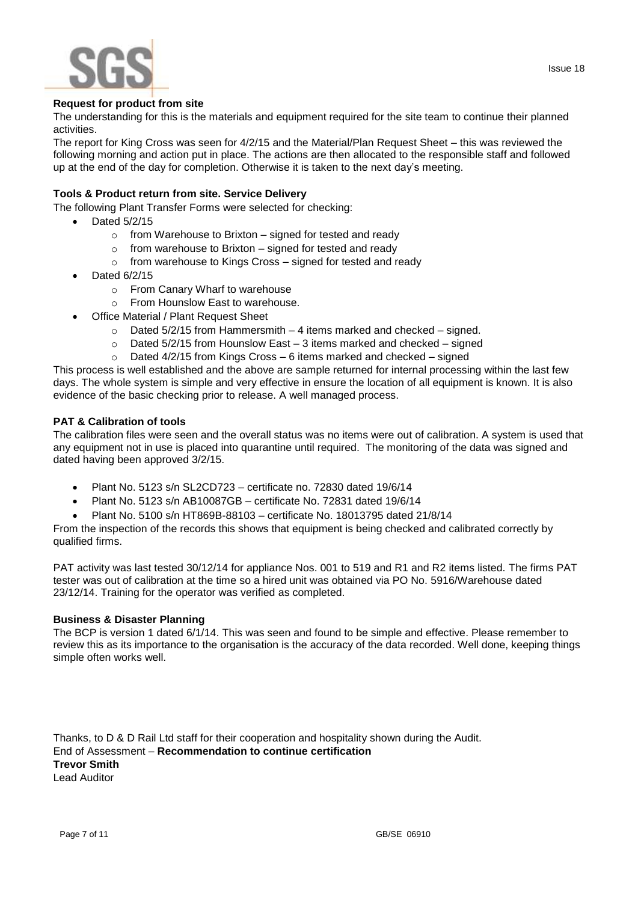



#### **Request for product from site**

The understanding for this is the materials and equipment required for the site team to continue their planned activities.

The report for King Cross was seen for 4/2/15 and the Material/Plan Request Sheet – this was reviewed the following morning and action put in place. The actions are then allocated to the responsible staff and followed up at the end of the day for completion. Otherwise it is taken to the next day's meeting.

### **Tools & Product return from site. Service Delivery**

The following Plant Transfer Forms were selected for checking:

- Dated 5/2/15
	- $\circ$  from Warehouse to Brixton signed for tested and ready
	- $\circ$  from warehouse to Brixton signed for tested and ready
	- o from warehouse to Kings Cross signed for tested and ready
- Dated 6/2/15
	- o From Canary Wharf to warehouse
	- o From Hounslow East to warehouse.
- Office Material / Plant Request Sheet
	- $\circ$  Dated 5/2/15 from Hammersmith 4 items marked and checked signed.
	- $\circ$  Dated 5/2/15 from Hounslow East 3 items marked and checked signed
	- $\circ$  Dated 4/2/15 from Kings Cross 6 items marked and checked signed

This process is well established and the above are sample returned for internal processing within the last few days. The whole system is simple and very effective in ensure the location of all equipment is known. It is also evidence of the basic checking prior to release. A well managed process.

#### **PAT & Calibration of tools**

The calibration files were seen and the overall status was no items were out of calibration. A system is used that any equipment not in use is placed into quarantine until required. The monitoring of the data was signed and dated having been approved 3/2/15.

- Plant No. 5123 s/n SL2CD723 certificate no. 72830 dated 19/6/14
- Plant No. 5123 s/n AB10087GB certificate No. 72831 dated 19/6/14
- Plant No. 5100 s/n HT869B-88103 certificate No. 18013795 dated 21/8/14

From the inspection of the records this shows that equipment is being checked and calibrated correctly by qualified firms.

PAT activity was last tested 30/12/14 for appliance Nos. 001 to 519 and R1 and R2 items listed. The firms PAT tester was out of calibration at the time so a hired unit was obtained via PO No. 5916/Warehouse dated 23/12/14. Training for the operator was verified as completed.

#### **Business & Disaster Planning**

The BCP is version 1 dated 6/1/14. This was seen and found to be simple and effective. Please remember to review this as its importance to the organisation is the accuracy of the data recorded. Well done, keeping things simple often works well.

Thanks, to D & D Rail Ltd staff for their cooperation and hospitality shown during the Audit. End of Assessment – **Recommendation to continue certification**

**Trevor Smith** Lead Auditor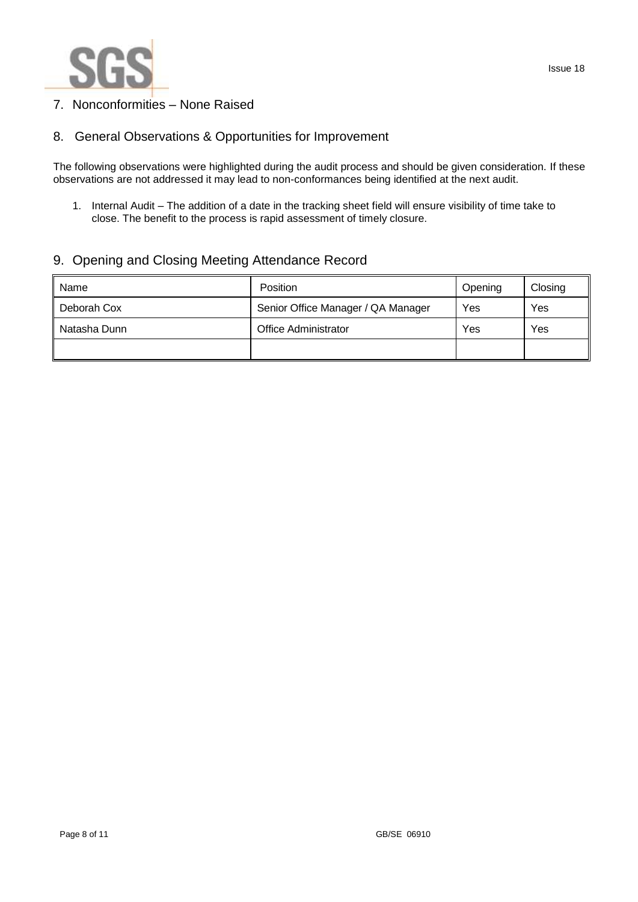

## 7. Nonconformities – None Raised

## 8. General Observations & Opportunities for Improvement

The following observations were highlighted during the audit process and should be given consideration. If these observations are not addressed it may lead to non-conformances being identified at the next audit.

1. Internal Audit – The addition of a date in the tracking sheet field will ensure visibility of time take to close. The benefit to the process is rapid assessment of timely closure.

## 9. Opening and Closing Meeting Attendance Record

| Name         | Position                           | Opening | Closing |
|--------------|------------------------------------|---------|---------|
| Deborah Cox  | Senior Office Manager / QA Manager | Yes     | Yes     |
| Natasha Dunn | <b>Office Administrator</b>        | Yes     | Yes     |
|              |                                    |         |         |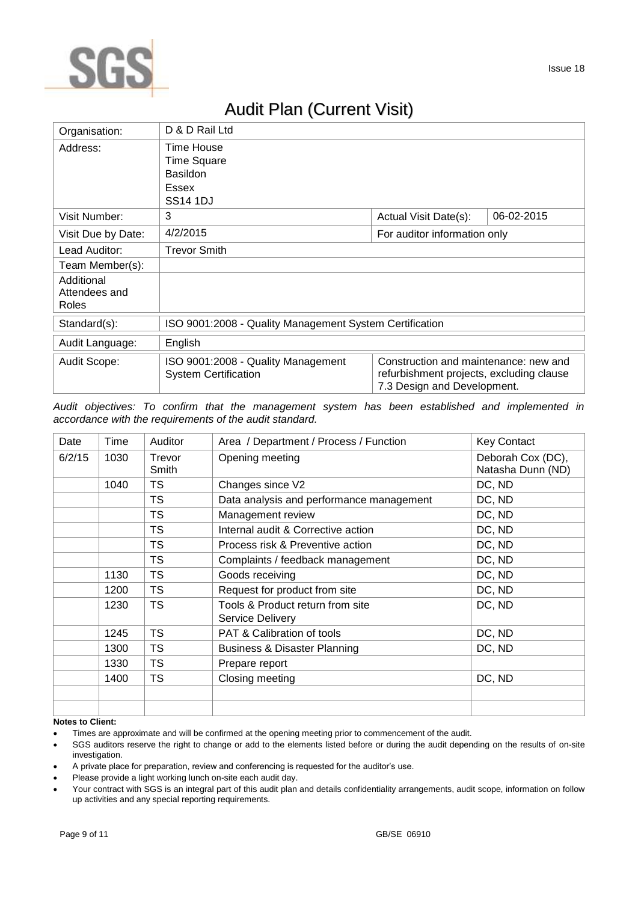

# Audit Plan (Current Visit)

| Organisation:                        | D & D Rail Ltd                                                                             |                                                                                                                  |            |
|--------------------------------------|--------------------------------------------------------------------------------------------|------------------------------------------------------------------------------------------------------------------|------------|
| Address:                             | Time House<br><b>Time Square</b><br><b>Basildon</b><br>Essex<br><b>SS<sub>14</sub></b> 1DJ |                                                                                                                  |            |
| Visit Number:                        | 3                                                                                          | Actual Visit Date(s):                                                                                            | 06-02-2015 |
| Visit Due by Date:                   | 4/2/2015                                                                                   | For auditor information only                                                                                     |            |
| Lead Auditor:                        | <b>Trevor Smith</b>                                                                        |                                                                                                                  |            |
| Team Member(s):                      |                                                                                            |                                                                                                                  |            |
| Additional<br>Attendees and<br>Roles |                                                                                            |                                                                                                                  |            |
| Standard(s):                         | ISO 9001:2008 - Quality Management System Certification                                    |                                                                                                                  |            |
| Audit Language:                      | English                                                                                    |                                                                                                                  |            |
| Audit Scope:                         | ISO 9001:2008 - Quality Management<br><b>System Certification</b>                          | Construction and maintenance: new and<br>refurbishment projects, excluding clause<br>7.3 Design and Development. |            |

*Audit objectives: To confirm that the management system has been established and implemented in accordance with the requirements of the audit standard.*

| Date   | Time | Auditor         | Area / Department / Process / Function               | <b>Key Contact</b>                     |
|--------|------|-----------------|------------------------------------------------------|----------------------------------------|
| 6/2/15 | 1030 | Trevor<br>Smith | Opening meeting                                      | Deborah Cox (DC),<br>Natasha Dunn (ND) |
|        | 1040 | TS              | Changes since V2                                     | DC, ND                                 |
|        |      | TS              | Data analysis and performance management             | DC, ND                                 |
|        |      | TS              | Management review                                    | DC, ND                                 |
|        |      | <b>TS</b>       | Internal audit & Corrective action                   | DC, ND                                 |
|        |      | <b>TS</b>       | Process risk & Preventive action                     | DC, ND                                 |
|        |      | <b>TS</b>       | Complaints / feedback management                     | DC, ND                                 |
|        | 1130 | <b>TS</b>       | Goods receiving                                      | DC, ND                                 |
|        | 1200 | TS              | Request for product from site                        | DC, ND                                 |
|        | 1230 | <b>TS</b>       | Tools & Product return from site<br>Service Delivery | DC, ND                                 |
|        | 1245 | <b>TS</b>       | PAT & Calibration of tools                           | DC, ND                                 |
|        | 1300 | <b>TS</b>       | <b>Business &amp; Disaster Planning</b>              | DC, ND                                 |
|        | 1330 | <b>TS</b>       | Prepare report                                       |                                        |
|        | 1400 | <b>TS</b>       | Closing meeting                                      | DC, ND                                 |
|        |      |                 |                                                      |                                        |
|        |      |                 |                                                      |                                        |

#### **Notes to Client:**

- A private place for preparation, review and conferencing is requested for the auditor's use.
- Please provide a light working lunch on-site each audit day.
- Your contract with SGS is an integral part of this audit plan and details confidentiality arrangements, audit scope, information on follow up activities and any special reporting requirements.

Times are approximate and will be confirmed at the opening meeting prior to commencement of the audit.

SGS auditors reserve the right to change or add to the elements listed before or during the audit depending on the results of on-site investigation.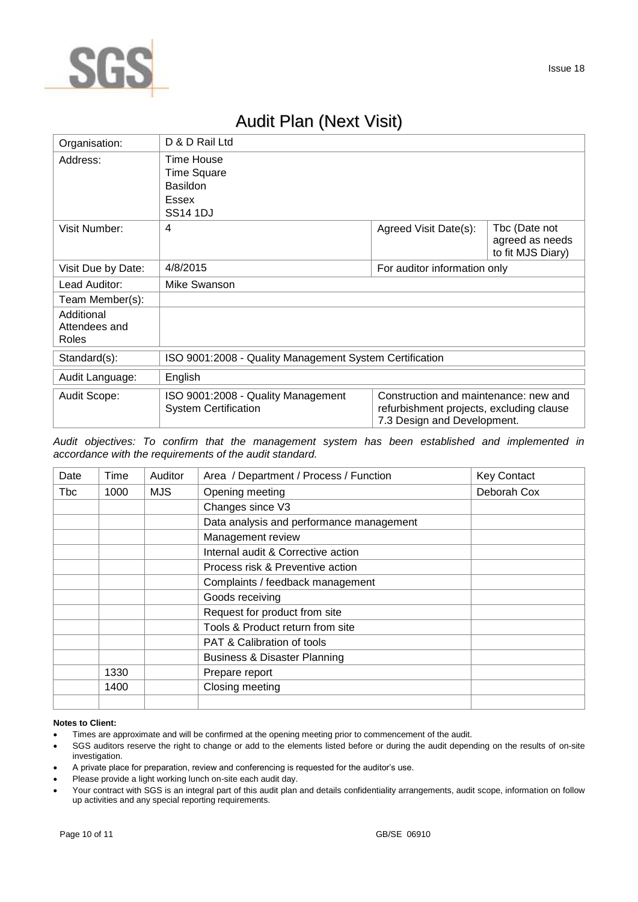

## Audit Plan (Next Visit)

| Organisation:                        | D & D Rail Ltd                                                                         |                                                                                                                  |                                                       |
|--------------------------------------|----------------------------------------------------------------------------------------|------------------------------------------------------------------------------------------------------------------|-------------------------------------------------------|
| Address:                             | Time House<br><b>Time Square</b><br><b>Basildon</b><br><b>Essex</b><br><b>SS14 1DJ</b> |                                                                                                                  |                                                       |
| Visit Number:                        | 4                                                                                      | Agreed Visit Date(s):                                                                                            | Tbc (Date not<br>agreed as needs<br>to fit MJS Diary) |
| Visit Due by Date:                   | 4/8/2015                                                                               | For auditor information only                                                                                     |                                                       |
| Lead Auditor:                        | Mike Swanson                                                                           |                                                                                                                  |                                                       |
| Team Member(s):                      |                                                                                        |                                                                                                                  |                                                       |
| Additional<br>Attendees and<br>Roles |                                                                                        |                                                                                                                  |                                                       |
| Standard(s):                         | ISO 9001:2008 - Quality Management System Certification                                |                                                                                                                  |                                                       |
| Audit Language:                      | English                                                                                |                                                                                                                  |                                                       |
| Audit Scope:                         | ISO 9001:2008 - Quality Management<br><b>System Certification</b>                      | Construction and maintenance: new and<br>refurbishment projects, excluding clause<br>7.3 Design and Development. |                                                       |

*Audit objectives: To confirm that the management system has been established and implemented in accordance with the requirements of the audit standard.*

| Date | Time | Auditor | Area / Department / Process / Function   | <b>Key Contact</b> |
|------|------|---------|------------------------------------------|--------------------|
| Tbc  | 1000 | MJS.    | Opening meeting                          | Deborah Cox        |
|      |      |         | Changes since V3                         |                    |
|      |      |         | Data analysis and performance management |                    |
|      |      |         | Management review                        |                    |
|      |      |         | Internal audit & Corrective action       |                    |
|      |      |         | Process risk & Preventive action         |                    |
|      |      |         | Complaints / feedback management         |                    |
|      |      |         | Goods receiving                          |                    |
|      |      |         | Request for product from site            |                    |
|      |      |         | Tools & Product return from site         |                    |
|      |      |         | PAT & Calibration of tools               |                    |
|      |      |         | <b>Business &amp; Disaster Planning</b>  |                    |
|      | 1330 |         | Prepare report                           |                    |
|      | 1400 |         | Closing meeting                          |                    |
|      |      |         |                                          |                    |

#### **Notes to Client:**

- Times are approximate and will be confirmed at the opening meeting prior to commencement of the audit.
- SGS auditors reserve the right to change or add to the elements listed before or during the audit depending on the results of on-site investigation.
- A private place for preparation, review and conferencing is requested for the auditor's use.
- Please provide a light working lunch on-site each audit day.
- Your contract with SGS is an integral part of this audit plan and details confidentiality arrangements, audit scope, information on follow up activities and any special reporting requirements.